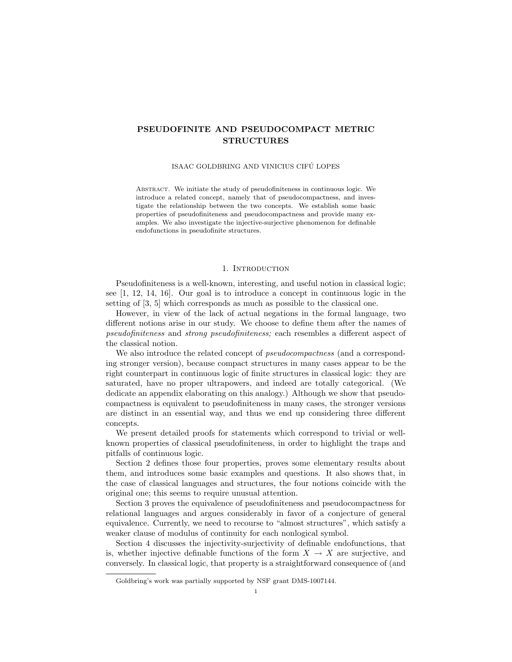# PSEUDOFINITE AND PSEUDOCOMPACT METRIC STRUCTURES

## ISAAC GOLDBRING AND VINICIUS CIFÚ LOPES

Abstract. We initiate the study of pseudofiniteness in continuous logic. We introduce a related concept, namely that of pseudocompactness, and investigate the relationship between the two concepts. We establish some basic properties of pseudofiniteness and pseudocompactness and provide many examples. We also investigate the injective-surjective phenomenon for definable endofunctions in pseudofinite structures.

#### 1. INTRODUCTION

Pseudofiniteness is a well-known, interesting, and useful notion in classical logic; see [1, 12, 14, 16]. Our goal is to introduce a concept in continuous logic in the setting of [3, 5] which corresponds as much as possible to the classical one.

However, in view of the lack of actual negations in the formal language, two different notions arise in our study. We choose to define them after the names of pseudofiniteness and strong pseudofiniteness; each resembles a different aspect of the classical notion.

We also introduce the related concept of *pseudocompactness* (and a corresponding stronger version), because compact structures in many cases appear to be the right counterpart in continuous logic of finite structures in classical logic: they are saturated, have no proper ultrapowers, and indeed are totally categorical. (We dedicate an appendix elaborating on this analogy.) Although we show that pseudocompactness is equivalent to pseudofiniteness in many cases, the stronger versions are distinct in an essential way, and thus we end up considering three different concepts.

We present detailed proofs for statements which correspond to trivial or wellknown properties of classical pseudofiniteness, in order to highlight the traps and pitfalls of continuous logic.

Section 2 defines those four properties, proves some elementary results about them, and introduces some basic examples and questions. It also shows that, in the case of classical languages and structures, the four notions coincide with the original one; this seems to require unusual attention.

Section 3 proves the equivalence of pseudofiniteness and pseudocompactness for relational languages and argues considerably in favor of a conjecture of general equivalence. Currently, we need to recourse to "almost structures", which satisfy a weaker clause of modulus of continuity for each nonlogical symbol.

Section 4 discusses the injectivity-surjectivity of definable endofunctions, that is, whether injective definable functions of the form  $X \to X$  are surjective, and conversely. In classical logic, that property is a straightforward consequence of (and

Goldbring's work was partially supported by NSF grant DMS-1007144.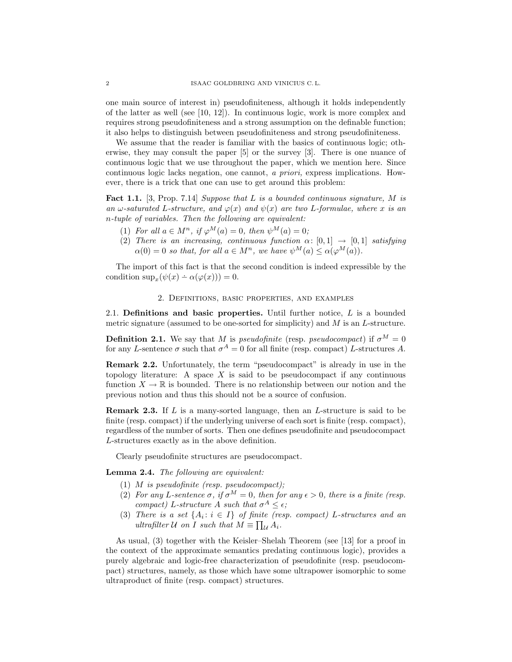one main source of interest in) pseudofiniteness, although it holds independently of the latter as well (see [10, 12]). In continuous logic, work is more complex and requires strong pseudofiniteness and a strong assumption on the definable function; it also helps to distinguish between pseudofiniteness and strong pseudofiniteness.

We assume that the reader is familiar with the basics of continuous logic; otherwise, they may consult the paper [5] or the survey [3]. There is one nuance of continuous logic that we use throughout the paper, which we mention here. Since continuous logic lacks negation, one cannot, a priori, express implications. However, there is a trick that one can use to get around this problem:

Fact 1.1. [3, Prop. 7.14] Suppose that L is a bounded continuous signature, M is an  $\omega$ -saturated L-structure, and  $\varphi(x)$  and  $\psi(x)$  are two L-formulae, where x is an n-tuple of variables. Then the following are equivalent:

- (1) For all  $a \in M^n$ , if  $\varphi^M(a) = 0$ , then  $\psi^M(a) = 0$ ;
- (2) There is an increasing, continuous function  $\alpha: [0,1] \rightarrow [0,1]$  satisfying  $\alpha(0) = 0$  so that, for all  $a \in M^n$ , we have  $\psi^M(a) \leq \alpha(\varphi^M(a))$ .

The import of this fact is that the second condition is indeed expressible by the condition  $\sup_x(\psi(x) - \alpha(\varphi(x))) = 0.$ 

# 2. Definitions, basic properties, and examples

2.1. Definitions and basic properties. Until further notice,  $L$  is a bounded metric signature (assumed to be one-sorted for simplicity) and  $M$  is an  $L$ -structure.

**Definition 2.1.** We say that M is *pseudofinite* (resp. *pseudocompact*) if  $\sigma^M = 0$ for any L-sentence  $\sigma$  such that  $\sigma^A = 0$  for all finite (resp. compact) L-structures A.

Remark 2.2. Unfortunately, the term "pseudocompact" is already in use in the topology literature: A space  $X$  is said to be pseudocompact if any continuous function  $X \to \mathbb{R}$  is bounded. There is no relationship between our notion and the previous notion and thus this should not be a source of confusion.

**Remark 2.3.** If  $L$  is a many-sorted language, then an  $L$ -structure is said to be finite (resp. compact) if the underlying universe of each sort is finite (resp. compact), regardless of the number of sorts. Then one defines pseudofinite and pseudocompact L-structures exactly as in the above definition.

Clearly pseudofinite structures are pseudocompact.

Lemma 2.4. The following are equivalent:

- (1)  $M$  is pseudofinite (resp. pseudocompact);
- (2) For any L-sentence  $\sigma$ , if  $\sigma^M = 0$ , then for any  $\epsilon > 0$ , there is a finite (resp. compact) L-structure A such that  $\sigma^A \leq \epsilon$ ;
- (3) There is a set  $\{A_i : i \in I\}$  of finite (resp. compact) L-structures and an ultrafilter  $U$  on I such that  $M \equiv \prod_{\mathcal{U}} A_i$ .

As usual, (3) together with the Keisler–Shelah Theorem (see [13] for a proof in the context of the approximate semantics predating continuous logic), provides a purely algebraic and logic-free characterization of pseudofinite (resp. pseudocompact) structures, namely, as those which have some ultrapower isomorphic to some ultraproduct of finite (resp. compact) structures.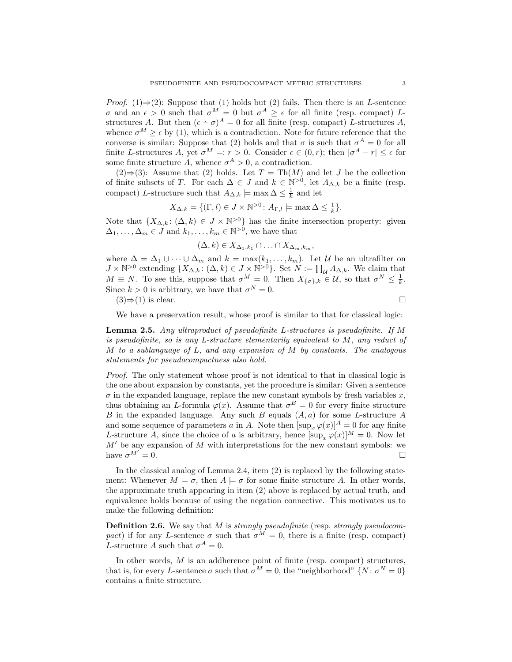*Proof.* (1) $\Rightarrow$ (2): Suppose that (1) holds but (2) fails. Then there is an L-sentence σ and an  $\epsilon > 0$  such that  $\sigma^M = 0$  but  $\sigma^A \geq \epsilon$  for all finite (resp. compact) Lstructures A. But then  $(\epsilon - \sigma)^A = 0$  for all finite (resp. compact) L-structures A, whence  $\sigma^M \geq \epsilon$  by (1), which is a contradiction. Note for future reference that the converse is similar: Suppose that (2) holds and that  $\sigma$  is such that  $\sigma^A = 0$  for all finite L-structures A, yet  $\sigma^M =: r > 0$ . Consider  $\epsilon \in (0, r)$ ; then  $|\sigma^A - r| \leq \epsilon$  for some finite structure A, whence  $\sigma^A > 0$ , a contradiction.

(2)⇒(3): Assume that (2) holds. Let  $T = Th(M)$  and let J be the collection of finite subsets of T. For each  $\Delta \in J$  and  $k \in \mathbb{N}^{>0}$ , let  $A_{\Delta,k}$  be a finite (resp. compact) L-structure such that  $A_{\Delta,k} \models \max \Delta \leq \frac{1}{k}$  and let

$$
X_{\Delta,k} = \{ (\Gamma, l) \in J \times \mathbb{N}^{>0} \colon A_{\Gamma,l} \models \max \Delta \le \frac{1}{k} \}.
$$

Note that  $\{X_{\Delta,k}\colon (\Delta,k)\in J\times\mathbb{N}^{>0}\}\$  has the finite intersection property: given  $\Delta_1, \ldots, \Delta_m \in J$  and  $k_1, \ldots, k_m \in \mathbb{N}^{>0}$ , we have that

$$
(\Delta, k) \in X_{\Delta_1, k_1} \cap \ldots \cap X_{\Delta_m, k_m},
$$

where  $\Delta = \Delta_1 \cup \cdots \cup \Delta_m$  and  $k = \max(k_1, \ldots, k_m)$ . Let U be an ultrafilter on  $J \times \mathbb{N}^{>0}$  extending  $\{X_{\Delta,k} : (\Delta, k) \in J \times \mathbb{N}^{>0}\}\$ . Set  $N := \prod_{\mathcal{U}} A_{\Delta,k}$ . We claim that  $M \equiv N$ . To see this, suppose that  $\sigma^M = 0$ . Then  $X_{\{\sigma\},k} \in \mathcal{U}$ , so that  $\sigma^N \leq \frac{1}{k}$ . Since  $k > 0$  is arbitrary, we have that  $\sigma^N = 0$ .  $(3) \Rightarrow (1)$  is clear.

We have a preservation result, whose proof is similar to that for classical logic:

Lemma 2.5. Any ultraproduct of pseudofinite L-structures is pseudofinite. If M is pseudofinite, so is any L-structure elementarily equivalent to  $M$ , any reduct of M to a sublanguage of L, and any expansion of M by constants. The analogous statements for pseudocompactness also hold.

Proof. The only statement whose proof is not identical to that in classical logic is the one about expansion by constants, yet the procedure is similar: Given a sentence  $\sigma$  in the expanded language, replace the new constant symbols by fresh variables  $x$ , thus obtaining an L-formula  $\varphi(x)$ . Assume that  $\sigma^B = 0$  for every finite structure  $B$  in the expanded language. Any such  $B$  equals  $(A, a)$  for some L-structure  $A$ and some sequence of parameters a in A. Note then  $[\sup_{x} \varphi(x)]^A = 0$  for any finite L-structure A, since the choice of a is arbitrary, hence  $[\sup_x \varphi(x)]^M = 0$ . Now let  $M'$  be any expansion of M with interpretations for the new constant symbols: we have  $\sigma^{M'}=0$ .  $= 0.$ 

In the classical analog of Lemma 2.4, item (2) is replaced by the following statement: Whenever  $M \models \sigma$ , then  $A \models \sigma$  for some finite structure A. In other words, the approximate truth appearing in item (2) above is replaced by actual truth, and equivalence holds because of using the negation connective. This motivates us to make the following definition:

**Definition 2.6.** We say that  $M$  is strongly pseudofinite (resp. strongly pseudocompact) if for any L-sentence  $\sigma$  such that  $\sigma^M = 0$ , there is a finite (resp. compact) L-structure A such that  $\sigma^A = 0$ .

In other words,  $M$  is an addherence point of finite (resp. compact) structures, that is, for every L-sentence  $\sigma$  such that  $\sigma^M = 0$ , the "neighborhood"  $\{N : \sigma^N = 0\}$ contains a finite structure.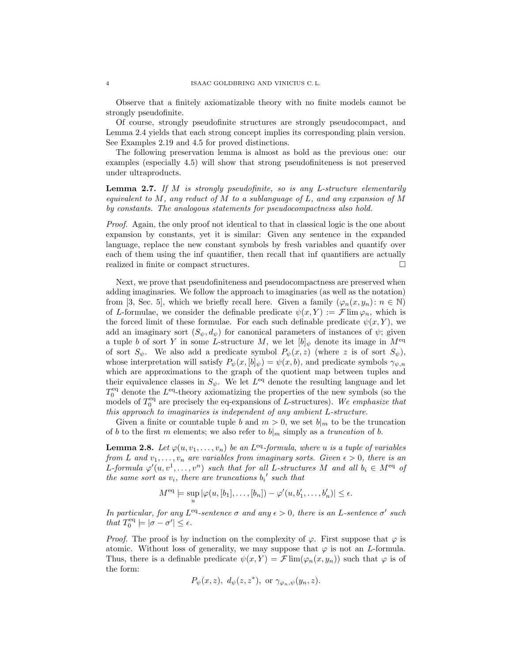Observe that a finitely axiomatizable theory with no finite models cannot be strongly pseudofinite.

Of course, strongly pseudofinite structures are strongly pseudocompact, and Lemma 2.4 yields that each strong concept implies its corresponding plain version. See Examples 2.19 and 4.5 for proved distinctions.

The following preservation lemma is almost as bold as the previous one: our examples (especially 4.5) will show that strong pseudofiniteness is not preserved under ultraproducts.

**Lemma 2.7.** If  $M$  is strongly pseudofinite, so is any L-structure elementarily equivalent to  $M$ , any reduct of  $M$  to a sublanguage of  $L$ , and any expansion of  $M$ by constants. The analogous statements for pseudocompactness also hold.

Proof. Again, the only proof not identical to that in classical logic is the one about expansion by constants, yet it is similar: Given any sentence in the expanded language, replace the new constant symbols by fresh variables and quantify over each of them using the inf quantifier, then recall that inf quantifiers are actually realized in finite or compact structures.

Next, we prove that pseudofiniteness and pseudocompactness are preserved when adding imaginaries. We follow the approach to imaginaries (as well as the notation) from [3, Sec. 5], which we briefly recall here. Given a family  $(\varphi_n(x, y_n): n \in \mathbb{N})$ of L-formulae, we consider the definable predicate  $\psi(x, Y) := \mathcal{F} \lim \varphi_n$ , which is the forced limit of these formulae. For each such definable predicate  $\psi(x, Y)$ , we add an imaginary sort  $(S_{\psi}, d_{\psi})$  for canonical parameters of instances of  $\psi$ ; given a tuple b of sort Y in some L-structure M, we let  $[b]_\psi$  denote its image in  $M^{\text{eq}}$ of sort  $S_{\psi}$ . We also add a predicate symbol  $P_{\psi}(x, z)$  (where z is of sort  $S_{\psi}$ ), whose interpretation will satisfy  $P_{\psi}(x,[b]_{\psi}) = \psi(x,b)$ , and predicate symbols  $\gamma_{\psi,n}$ which are approximations to the graph of the quotient map between tuples and their equivalence classes in  $S_{\psi}$ . We let  $L^{eq}$  denote the resulting language and let  $T_0^{\text{eq}}$  denote the  $L^{\text{eq}}$ -theory axiomatizing the properties of the new symbols (so the models of  $T_0^{\text{eq}}$  are precisely the eq-expansions of L-structures). We emphasize that this approach to imaginaries is independent of any ambient L-structure.

Given a finite or countable tuple b and  $m > 0$ , we set  $b|_m$  to be the truncation of b to the first m elements; we also refer to  $b<sub>||m</sub>$  simply as a truncation of b.

**Lemma 2.8.** Let  $\varphi(u, v_1, \ldots, v_n)$  be an L<sup>eq</sup>-formula, where u is a tuple of variables from L and  $v_1, \ldots, v_n$  are variables from imaginary sorts. Given  $\epsilon > 0$ , there is an L-formula  $\varphi'(u, v^1, \ldots, v^n)$  such that for all L-structures M and all  $b_i \in M^{eq}$  of the same sort as  $v_i$ , there are truncations  $b_i$ ' such that

$$
M^{\text{eq}} \models \sup_{u} |\varphi(u, [b_1], \dots, [b_n]) - \varphi'(u, b'_1, \dots, b'_n)| \le \epsilon.
$$

In particular, for any  $L^{eq}$ -sentence  $\sigma$  and any  $\epsilon > 0$ , there is an L-sentence  $\sigma'$  such that  $T_0^{\text{eq}} \models |\sigma - \sigma'| \leq \epsilon$ .

*Proof.* The proof is by induction on the complexity of  $\varphi$ . First suppose that  $\varphi$  is atomic. Without loss of generality, we may suppose that  $\varphi$  is not an *L*-formula. Thus, there is a definable predicate  $\psi(x, Y) = \mathcal{F}$  lim $(\varphi_n(x, y_n))$  such that  $\varphi$  is of the form:

$$
P_{\psi}(x, z), d_{\psi}(z, z^*), \text{ or } \gamma_{\varphi_n, \psi}(y_n, z).
$$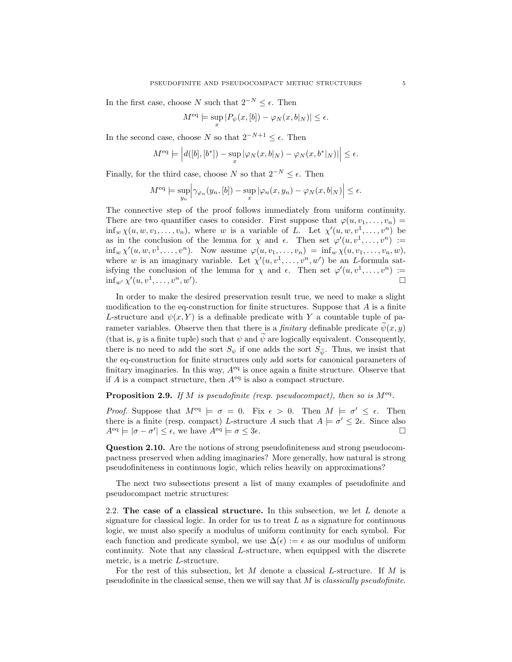In the first case, choose N such that  $2^{-N} \leq \epsilon$ . Then

$$
M^{\text{eq}}\models \sup_{x}|P_{\psi}(x,[b])-\varphi_{N}(x,b|_{N})|\leq \epsilon.
$$

In the second case, choose N so that  $2^{-N+1} \leq \epsilon$ . Then

$$
M^{\text{eq}} \models \left| d([b], [b^*]) - \sup_x |\varphi_N(x, b|_N) - \varphi_N(x, b^*|_N) \right| \le \epsilon.
$$

Finally, for the third case, choose N so that  $2^{-N} \leq \epsilon$ . Then

$$
M^{\text{eq}} \models \sup_{y_n} \Big| \gamma_{\varphi_n}(y_n, [b]) - \sup_x \big| \varphi_n(x, y_n) - \varphi_N(x, b|_N) \Big| \le \epsilon.
$$

The connective step of the proof follows immediately from uniform continuity. There are two quantifier cases to consider. First suppose that  $\varphi(u, v_1, \ldots, v_n)$  =  $\inf_w \chi(u, w, v_1, \ldots, v_n)$ , where w is a variable of L. Let  $\chi'(u, w, v^1, \ldots, v^n)$  be as in the conclusion of the lemma for  $\chi$  and  $\epsilon$ . Then set  $\varphi'(u, v^1, \ldots, v^n) :=$  $\inf_w \chi'(u, w, v^1, \dots, v^n)$ . Now assume  $\varphi(u, v_1, \dots, v_n) = \inf_w \chi(u, v_1, \dots, v_n, w)$ , where w is an imaginary variable. Let  $\chi'(u, v^1, \ldots, v^n, w')$  be an L-formula satisfying the conclusion of the lemma for  $\chi$  and  $\epsilon$ . Then set  $\varphi'(u, v^1, \ldots, v^n) :=$  $\inf_{w'} \chi'(u, v^1, \ldots, v^n, w')$ ).  $\qquad \qquad \Box$ 

In order to make the desired preservation result true, we need to make a slight modification to the eq-construction for finite structures. Suppose that  $A$  is a finite L-structure and  $\psi(x, Y)$  is a definable predicate with Y a countable tuple of parameter variables. Observe then that there is a *finitary* definable predicate  $\psi(x, y)$ (that is, y is a finite tuple) such that  $\psi$  and  $\tilde{\psi}$  are logically equivalent. Consequently, there is no need to add the sort  $S_{\psi}$  if one adds the sort  $S_{\widetilde{\psi}}$ . Thus, we insist that the eq-construction for finite structures only add sorts for canonical parameters of finitary imaginaries. In this way,  $A<sup>eq</sup>$  is once again a finite structure. Observe that if A is a compact structure, then  $A^{eq}$  is also a compact structure.

**Proposition 2.9.** If M is pseudofinite (resp. pseudocompact), then so is  $M^{eq}$ .

*Proof.* Suppose that  $M^{eq} \models \sigma = 0$ . Fix  $\epsilon > 0$ . Then  $M \models \sigma' \leq \epsilon$ . Then there is a finite (resp. compact) L-structure A such that  $A \models \sigma' \leq 2\epsilon$ . Since also  $A^{\text{eq}} \models |\sigma - \sigma'| \leq \epsilon$ , we have  $A^{\text{eq}} \models \sigma \leq 3\epsilon$ .

Question 2.10. Are the notions of strong pseudofiniteness and strong pseudocompactness preserved when adding imaginaries? More generally, how natural is strong pseudofiniteness in continuous logic, which relies heavily on approximations?

The next two subsections present a list of many examples of pseudofinite and pseudocompact metric structures:

2.2. The case of a classical structure. In this subsection, we let  $L$  denote a signature for classical logic. In order for us to treat  $L$  as a signature for continuous logic, we must also specify a modulus of uniform continuity for each symbol. For each function and predicate symbol, we use  $\Delta(\epsilon) := \epsilon$  as our modulus of uniform continuity. Note that any classical L-structure, when equipped with the discrete metric, is a metric L-structure.

For the rest of this subsection, let M denote a classical L-structure. If M is pseudofinite in the classical sense, then we will say that  $M$  is *classically pseudofinite*.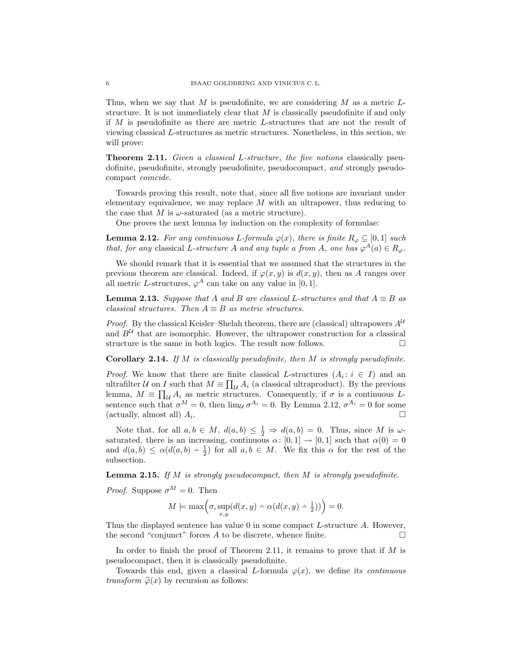Thus, when we say that M is pseudofinite, we are considering M as a metric  $L$ structure. It is not immediately clear that  $M$  is classically pseudofinite if and only if M is pseudofinite as there are metric L-structures that are not the result of viewing classical L-structures as metric structures. Nonetheless, in this section, we will prove:

**Theorem 2.11.** Given a classical L-structure, the five notions classically pseudofinite, pseudofinite, strongly pseudofinite, pseudocompact, and strongly pseudocompact coincide.

Towards proving this result, note that, since all five notions are invariant under elementary equivalence, we may replace  $M$  with an ultrapower, thus reducing to the case that M is  $\omega$ -saturated (as a metric structure).

One proves the next lemma by induction on the complexity of formulae:

**Lemma 2.12.** For any continuous L-formula  $\varphi(x)$ , there is finite  $R_{\varphi} \subseteq [0,1]$  such that, for any classical L-structure A and any tuple a from A, one has  $\varphi^A(a) \in R_{\varphi}$ .

We should remark that it is essential that we assumed that the structures in the previous theorem are classical. Indeed, if  $\varphi(x, y)$  is  $d(x, y)$ , then as A ranges over all metric L-structures,  $\varphi^A$  can take on any value in [0, 1].

**Lemma 2.13.** Suppose that A and B are classical L-structures and that  $A \equiv B$  as classical structures. Then  $A \equiv B$  as metric structures.

*Proof.* By the classical Keisler–Shelah theorem, there are (classical) ultrapowers  $A^{\mathcal{U}}$ and  $B^{\mathcal{U}}$  that are isomorphic. However, the ultrapower construction for a classical structure is the same in both logics. The result now follows.

**Corollary 2.14.** If  $M$  is classically pseudofinite, then  $M$  is strongly pseudofinite.

*Proof.* We know that there are finite classical L-structures  $(A_i: i \in I)$  and an ultrafilter U on I such that  $M \equiv \prod_{\mathcal{U}} A_i$  (a classical ultraproduct). By the previous lemma,  $M \equiv \prod_{\mathcal{U}} A_i$  as metric structures. Consequently, if  $\sigma$  is a continuous Lsentence such that  $\sigma^M = 0$ , then  $\lim_{\mathcal{U}} \sigma^{A_i} = 0$ . By Lemma 2.12,  $\sigma^{A_i} = 0$  for some (actually, almost all)  $A_i$ . .

Note that, for all  $a, b \in M$ ,  $d(a, b) \leq \frac{1}{2} \Rightarrow d(a, b) = 0$ . Thus, since M is  $\omega$ saturated, there is an increasing, continuous  $\alpha: [0,1] \to [0,1]$  such that  $\alpha(0) = 0$ and  $d(a, b) \leq \alpha(d(a, b) - \frac{1}{2})$  for all  $a, b \in M$ . We fix this  $\alpha$  for the rest of the subsection.

**Lemma 2.15.** If M is strongly pseudocompact, then M is strongly pseudofinite.

*Proof.* Suppose  $\sigma^{M} = 0$ . Then

$$
M \models \max\left(\sigma, \sup_{x,y} (d(x,y) - \alpha(d(x,y) - \frac{1}{2}))\right) = 0.
$$

Thus the displayed sentence has value 0 in some compact L-structure A. However, the second "conjunct" forces  $A$  to be discrete, whence finite.  $\Box$ 

In order to finish the proof of Theorem 2.11, it remains to prove that if  $M$  is pseudocompact, then it is classically pseudofinite.

Towards this end, given a classical L-formula  $\varphi(x)$ , we define its *continuous transform*  $\tilde{\varphi}(x)$  by recursion as follows: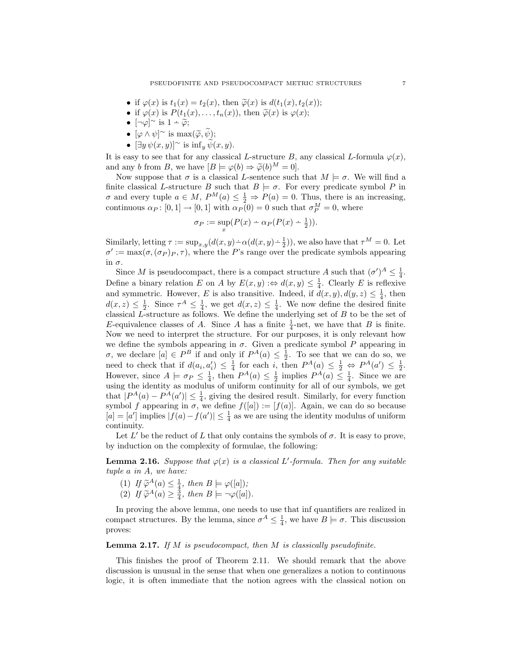- if  $\varphi(x)$  is  $t_1(x) = t_2(x)$ , then  $\widetilde{\varphi}(x)$  is  $d(t_1(x), t_2(x))$ ;
- if  $\varphi(x)$  is  $P(t_1(x), \ldots, t_n(x))$ , then  $\widetilde{\varphi}(x)$  is  $\varphi(x)$ ;
- $[\neg \varphi]^\sim$  is  $1 \widetilde{\varphi}$ ;
- $[\varphi \wedge \psi]$ <sup>~</sup> is  $\max(\widetilde{\varphi}, \widetilde{\psi});$ <br>•  $\lim_{\epsilon \to 0} f(\widetilde{\psi}, \widetilde{\psi})$
- $[\exists y \psi(x, y)]^{\sim}$  is  $\inf_{y} \widetilde{\psi}(x, y)$ .

It is easy to see that for any classical L-structure B, any classical L-formula  $\varphi(x)$ , and any b from B, we have  $[B \models \varphi(b) \Rightarrow \widetilde{\varphi}(b)^M = 0].$ 

Now suppose that  $\sigma$  is a classical L-sentence such that  $M \models \sigma$ . We will find a finite classical L-structure B such that  $B \models \sigma$ . For every predicate symbol P in  $\sigma$  and every tuple  $a \in M$ ,  $P^M(a) \leq \frac{1}{2} \Rightarrow P(a) = 0$ . Thus, there is an increasing, continuous  $\alpha_P : [0,1] \to [0,1]$  with  $\alpha_P(0) = 0$  such that  $\sigma_P^M = 0$ , where

$$
\sigma_P := \sup_x (P(x) - \alpha_P (P(x) - \frac{1}{2})).
$$

Similarly, letting  $\tau := \sup_{x,y} (d(x,y) - \alpha(d(x,y) - \frac{1}{2}))$ , we also have that  $\tau^M = 0$ . Let  $\sigma' := \max(\sigma, (\sigma_P)_P, \tau)$ , where the P's range over the predicate symbols appearing in σ.

Since M is pseudocompact, there is a compact structure A such that  $({\sigma}')^A \leq \frac{1}{4}$ . Define a binary relation E on A by  $E(x, y) : \Leftrightarrow d(x, y) \leq \frac{1}{4}$ . Clearly E is reflexive and symmetric. However, E is also transitive. Indeed, if  $d(x, y)$ ,  $d(y, z) \leq \frac{1}{4}$ , then  $d(x, z) \leq \frac{1}{2}$ . Since  $\tau^A \leq \frac{1}{4}$ , we get  $d(x, z) \leq \frac{1}{4}$ . We now define the desired finite classical  $L$ -structure as follows. We define the underlying set of  $B$  to be the set of E-equivalence classes of A. Since A has a finite  $\frac{1}{4}$ -net, we have that B is finite. Now we need to interpret the structure. For our purposes, it is only relevant how we define the symbols appearing in  $\sigma$ . Given a predicate symbol P appearing in σ, we declare [a] ∈  $P^B$  if and only if  $P^A(a) ≤ \frac{1}{2}$ . To see that we can do so, we need to check that if  $d(a_i, a'_i) \leq \frac{1}{4}$  for each i, then  $P^A(a) \leq \frac{1}{2} \Leftrightarrow P^A(a') \leq \frac{1}{2}$ . However, since  $A \models \sigma_P \leq \frac{1}{4}$ , then  $P^A(a) \leq \frac{1}{2}$  implies  $P^A(a) \leq \frac{1}{4}$ . Since we are using the identity as modulus of uniform continuity for all of our symbols, we get that  $|P^A(a) - P^A(a')| \leq \frac{1}{4}$ , giving the desired result. Similarly, for every function symbol f appearing in  $\sigma$ , we define  $f([a]) := [f(a)]$ . Again, we can do so because  $[a] = [a']$  implies  $|f(a) - f(a')| \leq \frac{1}{4}$  as we are using the identity modulus of uniform continuity.

Let  $L'$  be the reduct of L that only contains the symbols of  $\sigma$ . It is easy to prove, by induction on the complexity of formulae, the following:

**Lemma 2.16.** Suppose that  $\varphi(x)$  is a classical L'-formula. Then for any suitable tuple a in A, we have:

- (1) If  $\widetilde{\varphi}^{A}(a) \leq \frac{1}{4}$ , then  $B \models \varphi([a])$ ;<br>(2) If  $\widetilde{\varphi}_{A(a)} > \frac{3}{4}$ , then  $B \models \varphi([a])$
- (2) If  $\widetilde{\varphi}^{A}(a) \geq \frac{3}{4}$ , then  $B \models \neg \varphi([a])$ .

In proving the above lemma, one needs to use that inf quantifiers are realized in compact structures. By the lemma, since  $\sigma^A \leq \frac{1}{4}$ , we have  $B \models \sigma$ . This discussion proves:

# **Lemma 2.17.** If M is pseudocompact, then M is classically pseudofinite.

This finishes the proof of Theorem 2.11. We should remark that the above discussion is unusual in the sense that when one generalizes a notion to continuous logic, it is often immediate that the notion agrees with the classical notion on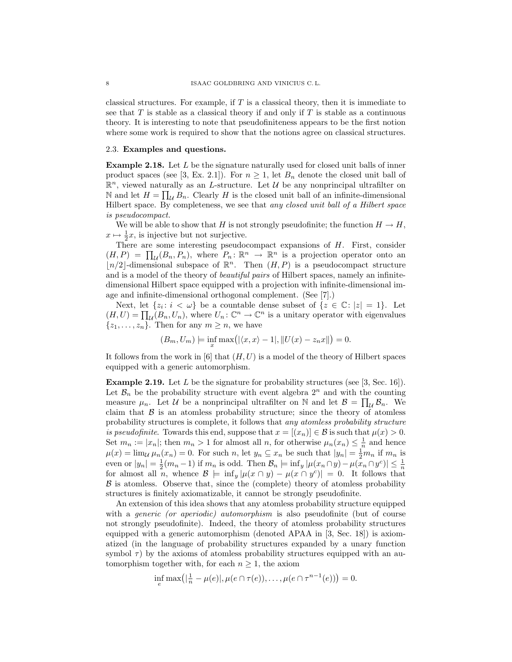classical structures. For example, if  $T$  is a classical theory, then it is immediate to see that  $T$  is stable as a classical theory if and only if  $T$  is stable as a continuous theory. It is interesting to note that pseudofiniteness appears to be the first notion where some work is required to show that the notions agree on classical structures.

#### 2.3. Examples and questions.

Example 2.18. Let L be the signature naturally used for closed unit balls of inner product spaces (see [3, Ex. 2.1]). For  $n \geq 1$ , let  $B_n$  denote the closed unit ball of  $\mathbb{R}^n$ , viewed naturally as an *L*-structure. Let *U* be any nonprincipal ultrafilter on N and let  $H = \prod_{\mathcal{U}} B_n$ . Clearly H is the closed unit ball of an infinite-dimensional Hilbert space. By completeness, we see that any closed unit ball of a Hilbert space is pseudocompact.

We will be able to show that H is not strongly pseudofinite; the function  $H \to H$ ,  $x \mapsto \frac{1}{2}x$ , is injective but not surjective.

There are some interesting pseudocompact expansions of  $H$ . First, consider  $(H, P) = \prod_{\mathcal{U}} (B_n, P_n)$ , where  $P_n: \mathbb{R}^n \to \mathbb{R}^n$  is a projection operator onto an  $\lfloor n/2 \rfloor$ -dimensional subspace of  $\mathbb{R}^n$ . Then  $(H, P)$  is a pseudocompact structure and is a model of the theory of *beautiful pairs* of Hilbert spaces, namely an infinitedimensional Hilbert space equipped with a projection with infinite-dimensional image and infinite-dimensional orthogonal complement. (See [7].)

Next, let  $\{z_i: i < \omega\}$  be a countable dense subset of  $\{z \in \mathbb{C}: |z| = 1\}$ . Let  $(H, U) = \prod_{\mathcal{U}}(B_n, U_n)$ , where  $U_n: \mathbb{C}^n \to \mathbb{C}^n$  is a unitary operator with eigenvalues  $\{z_1, \ldots, z_n\}$ . Then for any  $m \geq n$ , we have

$$
(B_m, U_m)
$$
 |=  $\inf_x \max(|\langle x, x \rangle - 1|, ||U(x) - z_n x||) = 0.$ 

It follows from the work in  $[6]$  that  $(H, U)$  is a model of the theory of Hilbert spaces equipped with a generic automorphism.

**Example 2.19.** Let  $L$  be the signature for probability structures (see [3, Sec. 16]). Let  $\mathcal{B}_n$  be the probability structure with event algebra  $2^n$  and with the counting measure  $\mu_n$ . Let U be a nonprincipal ultrafilter on N and let  $\mathcal{B} = \prod_{\mathcal{U}} \mathcal{B}_n$ . We claim that  $\beta$  is an atomless probability structure; since the theory of atomless probability structures is complete, it follows that any atomless probability structure is pseudofinite. Towards this end, suppose that  $x = [(x_n)] \in \mathcal{B}$  is such that  $\mu(x) > 0$ . Set  $m_n := |x_n|$ ; then  $m_n > 1$  for almost all n, for otherwise  $\mu_n(x_n) \leq \frac{1}{n}$  and hence  $\mu(x) = \lim_{\mathcal{U}} \mu_n(x_n) = 0$ . For such n, let  $y_n \subseteq x_n$  be such that  $|y_n| = \frac{1}{2}m_n$  if  $m_n$  is even or  $|y_n| = \frac{1}{2}(m_n - 1)$  if  $m_n$  is odd. Then  $\mathcal{B}_n \models \inf_y |\mu(x_n \cap y) - \mu(x_n \cap y^c)| \leq \frac{1}{n}$ for almost all n, whence  $\mathcal{B}$   $\models \inf_y |\mu(x \cap y) - \mu(x \cap y^c)| = 0$ . It follows that  $\beta$  is atomless. Observe that, since the (complete) theory of atomless probability structures is finitely axiomatizable, it cannot be strongly pseudofinite.

An extension of this idea shows that any atomless probability structure equipped with a *generic (or aperiodic)* automorphism is also pseudofinite (but of course not strongly pseudofinite). Indeed, the theory of atomless probability structures equipped with a generic automorphism (denoted APAA in [3, Sec. 18]) is axiomatized (in the language of probability structures expanded by a unary function symbol  $\tau$ ) by the axioms of atomless probability structures equipped with an automorphism together with, for each  $n \geq 1$ , the axiom

$$
\inf_{e} \max(|\frac{1}{n} - \mu(e)|, \mu(e \cap \tau(e)), \dots, \mu(e \cap \tau^{n-1}(e))| = 0.
$$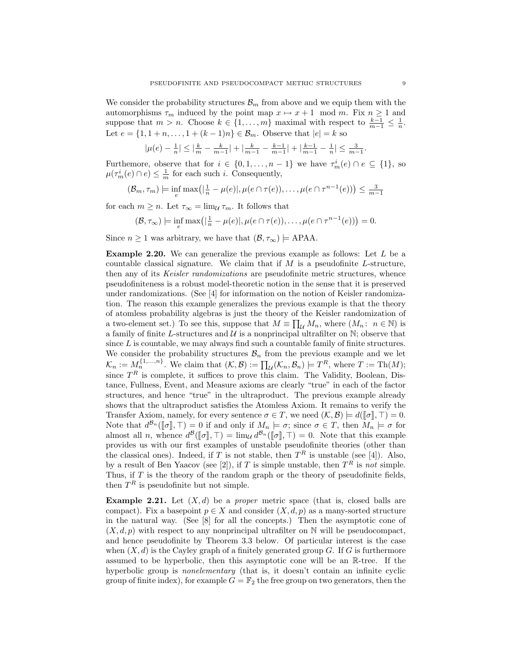We consider the probability structures  $\mathcal{B}_m$  from above and we equip them with the automorphisms  $\tau_m$  induced by the point map  $x \mapsto x + 1 \mod m$ . Fix  $n \ge 1$  and suppose that  $m > n$ . Choose  $k \in \{1, ..., m\}$  maximal with respect to  $\frac{k-1}{m-1} \leq \frac{1}{n}$ . Let  $e = \{1, 1 + n, \ldots, 1 + (k-1)n\} \in \mathcal{B}_m$ . Observe that  $|e| = k$  so

$$
|\mu(e)-\tfrac{1}{n}|\leq |\tfrac{k}{m}-\tfrac{k}{m-1}|+|\tfrac{k}{m-1}-\tfrac{k-1}{m-1}|+|\tfrac{k-1}{m-1}-\tfrac{1}{n}|\leq \tfrac{3}{m-1}.
$$

Furthemore, observe that for  $i \in \{0, 1, ..., n-1\}$  we have  $\tau_m^i(e) \cap e \subseteq \{1\}$ , so  $\mu(\tau_m^i(e) \cap e) \leq \frac{1}{m}$  for each such *i*. Consequently,

$$
(\mathcal{B}_m, \tau_m) \models \inf_e \max(|\frac{1}{n} - \mu(e)|, \mu(e \cap \tau(e)), \dots, \mu(e \cap \tau^{n-1}(e))) \le \frac{3}{m-1}
$$

for each  $m \geq n$ . Let  $\tau_{\infty} = \lim_{\mathcal{U}} \tau_m$ . It follows that

$$
(\mathcal{B},\tau_{\infty}) \models \inf_{e} \max(|\frac{1}{n}-\mu(e)|,\mu(e\cap \tau(e)),\ldots,\mu(e\cap \tau^{n-1}(e)))=0.
$$

Since  $n \geq 1$  was arbitrary, we have that  $(\mathcal{B}, \tau_{\infty}) \models$  APAA.

**Example 2.20.** We can generalize the previous example as follows: Let  $L$  be a countable classical signature. We claim that if  $M$  is a pseudofinite L-structure, then any of its *Keisler randomizations* are pseudofinite metric structures, whence pseudofiniteness is a robust model-theoretic notion in the sense that it is preserved under randomizations. (See [4] for information on the notion of Keisler randomization. The reason this example generalizes the previous example is that the theory of atomless probability algebras is just the theory of the Keisler randomization of a two-element set.) To see this, suppose that  $M \equiv \prod_{\mathcal{U}} M_n$ , where  $(M_n: n \in \mathbb{N})$  is a family of finite L-structures and  $\mathcal U$  is a nonprincipal ultrafilter on  $\mathbb N$ ; observe that since  $L$  is countable, we may always find such a countable family of finite structures. We consider the probability structures  $\mathcal{B}_n$  from the previous example and we let  $\mathcal{K}_n := M_n^{\{1,\ldots,n\}}$ . We claim that  $(\mathcal{K}, \mathcal{B}) := \prod_{\mathcal{U}} (\mathcal{K}_n, \mathcal{B}_n) \models T^R$ , where  $T := \text{Th}(M)$ ; since  $T<sup>R</sup>$  is complete, it suffices to prove this claim. The Validity, Boolean, Distance, Fullness, Event, and Measure axioms are clearly "true" in each of the factor structures, and hence "true" in the ultraproduct. The previous example already shows that the ultraproduct satisfies the Atomless Axiom. It remains to verify the Transfer Axiom, namely, for every sentence  $\sigma \in T$ , we need  $(\mathcal{K}, \mathcal{B}) \models d(\llbracket \sigma \rrbracket, \top) = 0$ . Note that  $d^{B_n}([\![\sigma]\!], \top) = 0$  if and only if  $M_n \models \sigma$ ; since  $\sigma \in T$ , then  $M_n \models \sigma$  for almost all n, whonce  $d^{B_n}([\![\sigma]\!], \top) = \lim_{n \to \infty} d^{B_n}([\![\sigma]\!], \top) = 0$ . Note that this example almost all *n*, whence  $d^B([\sigma], \top) = \lim_{\mathcal{U}} d^{B_n}([\sigma], \top) = 0$ . Note that this example provides us with our first examples of unstable pseudofinite theories (other than the classical ones). Indeed, if T is not stable, then  $T<sup>R</sup>$  is unstable (see [4]). Also, by a result of Ben Yaacov (see [2]), if T is simple unstable, then  $T<sup>R</sup>$  is not simple. Thus, if  $T$  is the theory of the random graph or the theory of pseudofinite fields, then  $T^R$  is pseudofinite but not simple.

**Example 2.21.** Let  $(X, d)$  be a *proper* metric space (that is, closed balls are compact). Fix a basepoint  $p \in X$  and consider  $(X, d, p)$  as a many-sorted structure in the natural way. (See [8] for all the concepts.) Then the asymptotic cone of  $(X, d, p)$  with respect to any nonprincipal ultrafilter on N will be pseudocompact, and hence pseudofinite by Theorem 3.3 below. Of particular interest is the case when  $(X, d)$  is the Cayley graph of a finitely generated group G. If G is furthermore assumed to be hyperbolic, then this asymptotic cone will be an R-tree. If the hyperbolic group is *nonelementary* (that is, it doesn't contain an infinite cyclic group of finite index), for example  $G = \mathbb{F}_2$  the free group on two generators, then the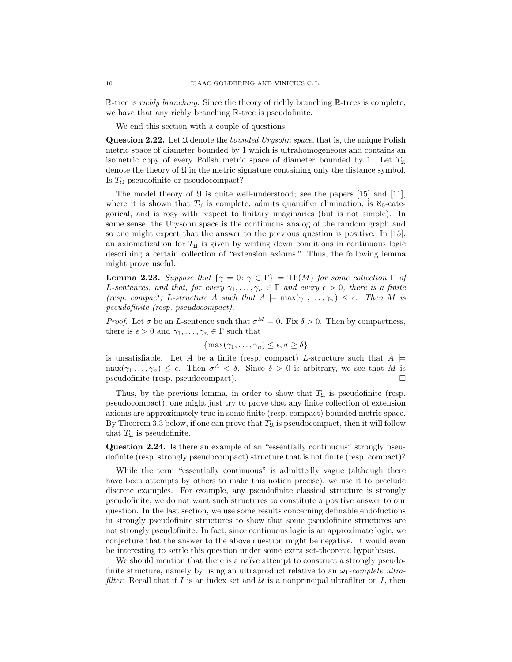R-tree is *richly branching*. Since the theory of richly branching R-trees is complete, we have that any richly branching R-tree is pseudofinite.

We end this section with a couple of questions.

**Question 2.22.** Let  $\mathfrak U$  denote the *bounded Urysohn space*, that is, the unique Polish metric space of diameter bounded by 1 which is ultrahomogeneous and contains an isometric copy of every Polish metric space of diameter bounded by 1. Let  $T_{\mathfrak{U}}$ denote the theory of  $\mathfrak U$  in the metric signature containing only the distance symbol. Is  $T_{\mathfrak{U}}$  pseudofinite or pseudocompact?

The model theory of  $\mathfrak U$  is quite well-understood; see the papers [15] and [11], where it is shown that  $T_{\text{II}}$  is complete, admits quantifier elimination, is  $\aleph_0$ -categorical, and is rosy with respect to finitary imaginaries (but is not simple). In some sense, the Urysohn space is the continuous analog of the random graph and so one might expect that the answer to the previous question is positive. In [15], an axiomatization for  $T_{\mathfrak{U}}$  is given by writing down conditions in continuous logic describing a certain collection of "extension axioms." Thus, the following lemma might prove useful.

**Lemma 2.23.** Suppose that  $\{\gamma = 0 : \gamma \in \Gamma\}$   $\models Th(M)$  for some collection  $\Gamma$  of L-sentences, and that, for every  $\gamma_1, \ldots, \gamma_n \in \Gamma$  and every  $\epsilon > 0$ , there is a finite (resp. compact) L-structure A such that  $A \models max(\gamma_1, \ldots, \gamma_n) \leq \epsilon$ . Then M is pseudofinite (resp. pseudocompact).

*Proof.* Let  $\sigma$  be an *L*-sentence such that  $\sigma^M = 0$ . Fix  $\delta > 0$ . Then by compactness, there is  $\epsilon > 0$  and  $\gamma_1, \ldots, \gamma_n \in \Gamma$  such that

$$
\{\max(\gamma_1,\ldots,\gamma_n)\leq \epsilon,\sigma\geq \delta\}
$$

is unsatisfiable. Let A be a finite (resp. compact) L-structure such that  $A \models$  $\max(\gamma_1 \ldots, \gamma_n) \leq \epsilon$ . Then  $\sigma^A < \delta$ . Since  $\delta > 0$  is arbitrary, we see that M is pseudofinite (resp. pseudocompact).

Thus, by the previous lemma, in order to show that  $T_{\mathfrak{U}}$  is pseudofinite (resp. pseudocompact), one might just try to prove that any finite collection of extension axioms are approximately true in some finite (resp. compact) bounded metric space. By Theorem 3.3 below, if one can prove that  $T_{\mathfrak{U}}$  is pseudocompact, then it will follow that  $T_{\text{II}}$  is pseudofinite.

Question 2.24. Is there an example of an "essentially continuous" strongly pseudofinite (resp. strongly pseudocompact) structure that is not finite (resp. compact)?

While the term "essentially continuous" is admittedly vague (although there have been attempts by others to make this notion precise), we use it to preclude discrete examples. For example, any pseudofinite classical structure is strongly pseudofinite; we do not want such structures to constitute a positive answer to our question. In the last section, we use some results concerning definable endofuctions in strongly pseudofinite structures to show that some pseudofinite structures are not strongly pseudofinite. In fact, since continuous logic is an approximate logic, we conjecture that the answer to the above question might be negative. It would even be interesting to settle this question under some extra set-theoretic hypotheses.

We should mention that there is a naïve attempt to construct a strongly pseudofinite structure, namely by using an ultraproduct relative to an  $\omega_1$ -complete ultrafilter. Recall that if I is an index set and U is a nonprincipal ultrafilter on I, then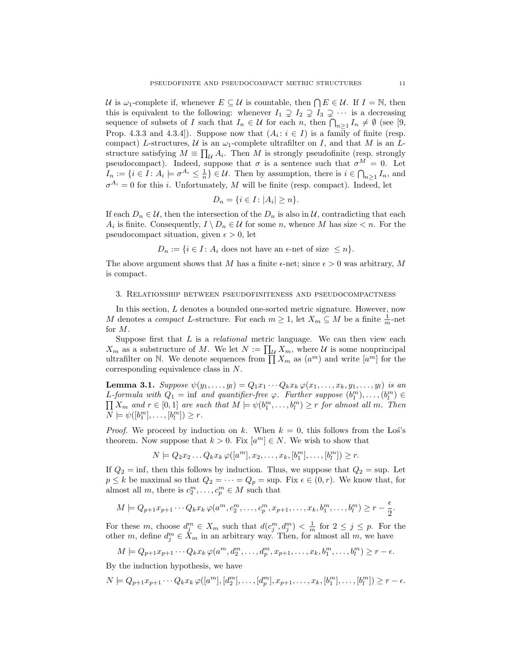U is  $\omega_1$ -complete if, whenever  $E \subseteq U$  is countable, then  $\bigcap E \in \mathcal{U}$ . If  $I = \mathbb{N}$ , then this is equivalent to the following: whenever  $I_1 \supsetneq I_2 \supsetneq I_3 \supsetneq \cdots$  is a decreasing sequence of subsets of I such that  $I_n \in \mathcal{U}$  for each n, then  $\bigcap_{n \geq 1} I_n \neq \emptyset$  (see [9, Prop. 4.3.3 and 4.3.4]). Suppose now that  $(A_i: i \in I)$  is a family of finite (resp. compact) L-structures, U is an  $\omega_1$ -complete ultrafilter on I, and that M is an Lstructure satisfying  $M \equiv \prod_{\mathcal{U}} A_i$ . Then M is strongly pseudofinite (resp. strongly pseudocompact). Indeed, suppose that  $\sigma$  is a sentence such that  $\sigma^M = 0$ . Let  $I_n := \{i \in I : A_i \models \sigma^{A_i} \leq \frac{1}{n}\} \in \mathcal{U}$ . Then by assumption, there is  $i \in \bigcap_{n \geq 1} I_n$ , and  $\sigma^{A_i} = 0$  for this *i*. Unfortunately, *M* will be finite (resp. compact). Indeed, let

$$
D_n = \{ i \in I : |A_i| \ge n \}.
$$

If each  $D_n \in \mathcal{U}$ , then the intersection of the  $D_n$  is also in  $\mathcal{U}$ , contradicting that each  $A_i$  is finite. Consequently,  $I \setminus D_n \in \mathcal{U}$  for some n, whence M has size  $\lt n$ . For the pseudocompact situation, given  $\epsilon > 0$ , let

$$
D_n := \{ i \in I : A_i \text{ does not have an } \epsilon \text{-net of size } \leq n \}.
$$

The above argument shows that M has a finite  $\epsilon$ -net; since  $\epsilon > 0$  was arbitrary, M is compact.

#### 3. Relationship between pseudofiniteness and pseudocompactness

In this section, L denotes a bounded one-sorted metric signature. However, now M denotes a *compact* L-structure. For each  $m \geq 1$ , let  $X_m \subseteq M$  be a finite  $\frac{1}{m}$ -net for M.

Suppose first that  $L$  is a *relational* metric language. We can then view each  $X_m$  as a substructure of M. We let  $N := \prod_{\mathcal{U}} X_m$ , where U is some nonprincipal ultrafilter on N. We denote sequences from  $\prod_{n=1}^{\infty} X_m$  as  $(a^m)$  and write  $[a^m]$  for the corresponding equivalence class in N.

**Lemma 3.1.** Suppose  $\psi(y_1, ..., y_l) = Q_1 x_1 \cdots Q_k x_k \varphi(x_1, ..., x_k, y_1, ..., y_l)$  is an L-formula with  $Q_1 = \inf$  and quantifier-free  $\varphi$ . Further suppose  $(b_1^m), \ldots, (b_l^m) \in$  $\prod X_m$  and  $r \in [0,1]$  are such that  $M \models \psi(b_1^m, \ldots, b_l^m) \geq r$  for almost all m. Then  $N \models \psi([b_1^m], \ldots, [b_l^m]) \geq r.$ 

*Proof.* We proceed by induction on k. When  $k = 0$ , this follows from the Los's theorem. Now suppose that  $k > 0$ . Fix  $[a<sup>m</sup>] \in N$ . We wish to show that

 $N \models Q_2 x_2 \dots Q_k x_k \, \varphi([a^m], x_2, \dots, x_k, [b_1^m], \dots, [b_l^m]) \geq r.$ 

If  $Q_2 = \inf$ , then this follows by induction. Thus, we suppose that  $Q_2 = \sup$ . Let  $p \leq k$  be maximal so that  $Q_2 = \cdots = Q_p = \text{sup. Fix } \epsilon \in (0, r)$ . We know that, for almost all m, there is  $c_2^m, \ldots, c_p^m \in M$  such that

$$
M \models Q_{p+1}x_{p+1}\cdots Q_kx_k \,\varphi(a^m, c_2^m, \ldots, c_p^m, x_{p+1}, \ldots, x_k, b_1^m, \ldots, b_l^m) \ge r - \frac{\epsilon}{2}.
$$

For these m, choose  $d_j^m \in X_m$  such that  $d(c_j^m, d_j^m) < \frac{1}{m}$  for  $2 \leq j \leq p$ . For the other m, define  $d_j^m \in \check{X}_m$  in an arbitrary way. Then, for almost all m, we have

$$
M \models Q_{p+1}x_{p+1}\cdots Q_kx_k \varphi(a^m, d_2^m, \ldots, d_p^m, x_{p+1}, \ldots, x_k, b_1^m, \ldots, b_l^m) \geq r - \epsilon.
$$

By the induction hypothesis, we have

$$
N \models Q_{p+1}x_{p+1}\cdots Q_kx_k \, \varphi([a^m], [d_2^m], \ldots, [d_p^m], x_{p+1}, \ldots, x_k, [b_1^m], \ldots, [b_l^m]) \ge r - \epsilon.
$$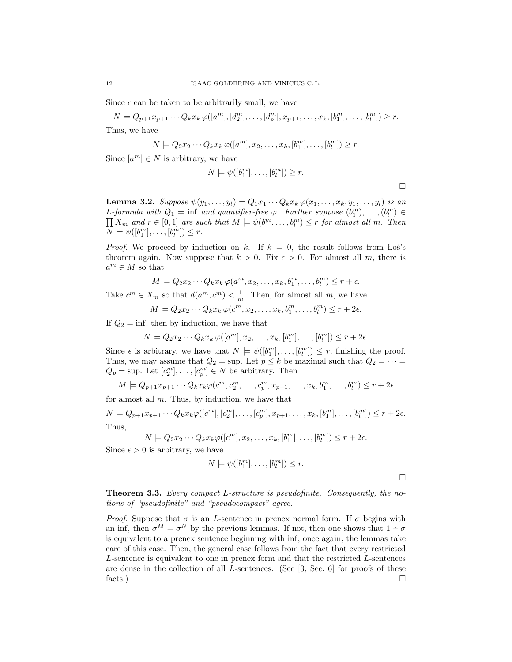Since  $\epsilon$  can be taken to be arbitrarily small, we have

 $N \models Q_{p+1}x_{p+1}\cdots Q_kx_k \, \varphi([a^m],[d_2^m],\ldots,[d_p^m],x_{p+1},\ldots,x_k,[b_1^m],\ldots,[b_l^m]) \geq r.$ 

Thus, we have

$$
N \models Q_2 x_2 \cdots Q_k x_k \, \varphi([a^m], x_2, \ldots, x_k, [b_1^m], \ldots, [b_l^m]) \geq r.
$$

Since  $[a^m] \in N$  is arbitrary, we have

$$
N \models \psi([b_1^m], \dots, [b_l^m]) \geq r.
$$

**Lemma 3.2.** Suppose  $\psi(y_1,\ldots,y_l)=Q_1x_1\cdots Q_kx_k\,\varphi(x_1,\ldots,x_k,y_1,\ldots,y_l)$  is an L-formula with  $Q_1 = \inf$  and quantifier-free  $\varphi$ . Further suppose  $(b_1^m), \ldots, (b_l^m) \in$  $\prod X_m$  and  $r \in [0,1]$  are such that  $M \models \psi(b_1^m, \ldots, b_l^m) \leq r$  for almost all m. Then  $N \models \psi([b_1^m], \ldots, [b_l^m]) \leq r.$ 

*Proof.* We proceed by induction on k. If  $k = 0$ , the result follows from Los's theorem again. Now suppose that  $k > 0$ . Fix  $\epsilon > 0$ . For almost all m, there is  $a^m \in M$  so that

$$
M \models Q_2 x_2 \cdots Q_k x_k \, \varphi(a^m, x_2, \ldots, x_k, b_1^m, \ldots, b_l^m) \le r + \epsilon.
$$

Take  $c^m \in X_m$  so that  $d(a^m, c^m) < \frac{1}{m}$ . Then, for almost all m, we have

$$
M \models Q_2 x_2 \cdots Q_k x_k \, \varphi(c^m, x_2, \ldots, x_k, b_1^m, \ldots, b_l^m) \le r + 2\epsilon.
$$

If  $Q_2 = \inf$ , then by induction, we have that

$$
N \models Q_2 x_2 \cdots Q_k x_k \, \varphi([a^m], x_2, \ldots, x_k, [b_1^m], \ldots, [b_l^m]) \le r + 2\epsilon.
$$

Since  $\epsilon$  is arbitrary, we have that  $N \models \psi([b_1^m], \ldots, [b_l^m]) \leq r$ , finishing the proof. Thus, we may assume that  $Q_2 = \sup$ . Let  $p \leq k$  be maximal such that  $Q_2 = \cdots =$  $Q_p = \text{sup. Let } [c_2^m], \ldots, [c_p^m] \in N$  be arbitrary. Then

$$
M \models Q_{p+1}x_{p+1}\cdots Q_kx_k \varphi(c^m, c_2^m, \ldots, c_p^m, x_{p+1}, \ldots, x_k, b_1^m, \ldots, b_l^m) \le r+2\epsilon
$$

for almost all  $m$ . Thus, by induction, we have that

$$
N \models Q_{p+1}x_{p+1}\cdots Q_kx_k \varphi([c^m],[c_2^m],\ldots,[c_p^m],x_{p+1},\ldots,x_k,[b_1^m],\ldots,[b_l^m]) \leq r+2\epsilon.
$$
  
Thus,

$$
N \models Q_2 x_2 \cdots Q_k x_k \varphi([c^m], x_2, \ldots, x_k, [b_1^m], \ldots, [b_l^m]) \le r + 2\epsilon.
$$

Since  $\epsilon > 0$  is arbitrary, we have

$$
N \models \psi([b_1^m], \dots, [b_l^m]) \leq r.
$$

 $\Box$ 

 $\Box$ 

Theorem 3.3. Every compact L-structure is pseudofinite. Consequently, the notions of "pseudofinite" and "pseudocompact" agree.

*Proof.* Suppose that  $\sigma$  is an *L*-sentence in prenex normal form. If  $\sigma$  begins with an inf, then  $\sigma^M = \sigma^N$  by the previous lemmas. If not, then one shows that  $1 - \sigma$ is equivalent to a prenex sentence beginning with inf; once again, the lemmas take care of this case. Then, the general case follows from the fact that every restricted L-sentence is equivalent to one in prenex form and that the restricted L-sentences are dense in the collection of all  $L$ -sentences. (See [3, Sec. 6] for proofs of these facts.)  $\Box$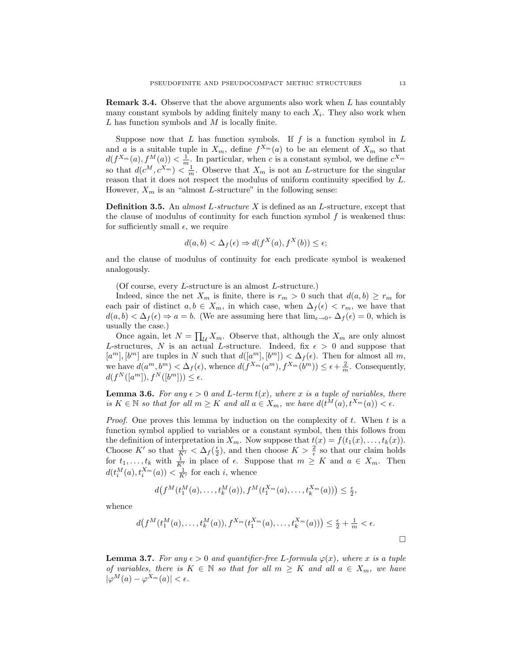Remark 3.4. Observe that the above arguments also work when L has countably many constant symbols by adding finitely many to each  $X_i$ . They also work when  $L$  has function symbols and  $M$  is locally finite.

Suppose now that  $L$  has function symbols. If  $f$  is a function symbol in  $L$ and a is a suitable tuple in  $X_m$ , define  $f^{X_m}(a)$  to be an element of  $X_m$  so that  $d(f^{X_m}(a), f^M(a)) < \frac{1}{m}$ . In particular, when c is a constant symbol, we define  $c^{X_m}$ so that  $d(c^M, c^{X_m}) < \frac{1}{m}$ . Observe that  $X_m$  is not an L-structure for the singular reason that it does not respect the modulus of uniform continuity specified by L. However,  $X_m$  is an "almost L-structure" in the following sense:

**Definition 3.5.** An almost L-structure  $X$  is defined as an L-structure, except that the clause of modulus of continuity for each function symbol  $f$  is weakened thus: for sufficiently small  $\epsilon$ , we require

$$
d(a,b) < \Delta_f(\epsilon) \Rightarrow d(f^X(a), f^X(b)) \le \epsilon;
$$

and the clause of modulus of continuity for each predicate symbol is weakened analogously.

(Of course, every L-structure is an almost L-structure.)

Indeed, since the net  $X_m$  is finite, there is  $r_m > 0$  such that  $d(a, b) \ge r_m$  for each pair of distinct  $a, b \in X_m$ , in which case, when  $\Delta_f(\epsilon) < r_m$ , we have that  $d(a, b) < \Delta_f(\epsilon) \Rightarrow a = b$ . (We are assuming here that  $\lim_{\epsilon \to 0^+} \Delta_f(\epsilon) = 0$ , which is usually the case.)

Once again, let  $N = \prod_{\mathcal{U}} X_m$ . Observe that, although the  $X_m$  are only almost L-structures, N is an actual L-structure. Indeed, fix  $\epsilon > 0$  and suppose that  $[a^m], [b^m]$  are tuples in N such that  $d([a^m], [b^m]) < \Delta_f(\epsilon)$ . Then for almost all m, we have  $d(a^m, b^m) < \Delta_f(\epsilon)$ , whence  $d(f^{X_m}(a^m), f^{X_m}(b^m)) \leq \epsilon + \frac{2}{m}$ . Consequently,  $d(f^N([a^m]), f^N([b^m])) \leq \epsilon.$ 

**Lemma 3.6.** For any  $\epsilon > 0$  and L-term  $t(x)$ , where x is a tuple of variables, there is  $K \in \mathbb{N}$  so that for all  $m \geq K$  and all  $a \in X_m$ , we have  $d(t^M(a), t^{X_m}(a)) < \epsilon$ .

*Proof.* One proves this lemma by induction on the complexity of t. When t is a function symbol applied to variables or a constant symbol, then this follows from the definition of interpretation in  $X_m$ . Now suppose that  $t(x) = f(t_1(x), \ldots, t_k(x)).$ Choose K' so that  $\frac{1}{K'} < \Delta_f(\frac{\epsilon}{2})$ , and then choose  $K > \frac{2}{\epsilon}$  so that our claim holds for  $t_1, \ldots, t_k$  with  $\frac{1}{K'}$  in place of  $\epsilon$ . Suppose that  $m \geq K$  and  $a \in X_m$ . Then  $d(t_i^M(a), t_i^{X_m}(a)) < \frac{1}{K'}$  for each *i*, whence

$$
d(f^{M}(t_{1}^{M}(a),...,t_{k}^{M}(a)),f^{M}(t_{1}^{X_{m}}(a),...,t_{k}^{X_{m}}(a))) \leq \frac{\epsilon}{2},
$$

whence

$$
d(f^{M}(t_{1}^{M}(a),...,t_{k}^{M}(a)),f^{X_{m}}(t_{1}^{X_{m}}(a),...,t_{k}^{X_{m}}(a))) \leq \frac{\epsilon}{2} + \frac{1}{m} < \epsilon.
$$

**Lemma 3.7.** For any  $\epsilon > 0$  and quantifier-free L-formula  $\varphi(x)$ , where x is a tuple of variables, there is  $K \in \mathbb{N}$  so that for all  $m \geq K$  and all  $a \in X_m$ , we have  $|\varphi^M(a) - \varphi^{X_m}(a)| < \epsilon.$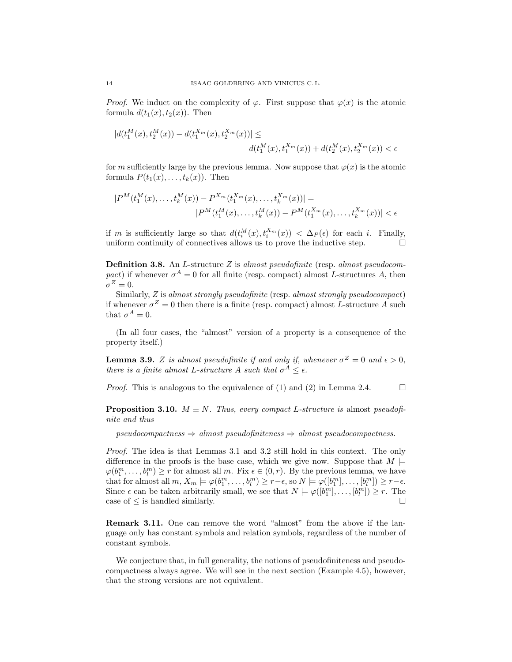*Proof.* We induct on the complexity of  $\varphi$ . First suppose that  $\varphi(x)$  is the atomic formula  $d(t_1(x), t_2(x))$ . Then

$$
\begin{aligned} |d(t_1^M(x),t_2^M(x))-d(t_1^{X_m}(x),t_2^{X_m}(x))|\leq\\ &d(t_1^M(x),t_1^{X_m}(x))+d(t_2^M(x),t_2^{X_m}(x))<\epsilon \end{aligned}
$$

for m sufficiently large by the previous lemma. Now suppose that  $\varphi(x)$  is the atomic formula  $P(t_1(x), \ldots, t_k(x))$ . Then

$$
|P^M(t_1^M(x),...,t_k^M(x))-P^{X_m}(t_1^{X_m}(x),...,t_k^{X_m}(x))|=
$$
  

$$
|P^M(t_1^M(x),...,t_k^M(x))-P^M(t_1^{X_m}(x),...,t_k^{X_m}(x))| < \epsilon
$$

if m is sufficiently large so that  $d(t_i^M(x), t_i^{X_m}(x)) < \Delta_P(\epsilon)$  for each i. Finally, uniform continuity of connectives allows us to prove the inductive step.  $\Box$ 

**Definition 3.8.** An L-structure  $Z$  is almost pseudofinite (resp. almost pseudocompact) if whenever  $\sigma^A = 0$  for all finite (resp. compact) almost L-structures A, then  $\sigma^Z=0.$ 

Similarly, Z is almost strongly pseudofinite (resp. almost strongly pseudocompact) if whenever  $\sigma^Z = 0$  then there is a finite (resp. compact) almost L-structure A such that  $\sigma^A=0$ .

(In all four cases, the "almost" version of a property is a consequence of the property itself.)

**Lemma 3.9.** Z is almost pseudofinite if and only if, whenever  $\sigma^Z = 0$  and  $\epsilon > 0$ , there is a finite almost L-structure A such that  $\sigma^A \leq \epsilon$ .

*Proof.* This is analogous to the equivalence of (1) and (2) in Lemma 2.4.  $\Box$ 

**Proposition 3.10.**  $M \equiv N$ . Thus, every compact L-structure is almost pseudofinite and thus

 $pseudocompactness \Rightarrow almost pseudofiniteness \Rightarrow almost pseudompectness.$ 

Proof. The idea is that Lemmas 3.1 and 3.2 still hold in this context. The only difference in the proofs is the base case, which we give now. Suppose that  $M \models$  $\varphi(b_1^m,\ldots,b_l^m) \ge r$  for almost all m. Fix  $\epsilon \in (0,r)$ . By the previous lemma, we have that for almost all  $m, X_m \models \varphi(b_1^m, \dots, b_l^m) \ge r - \epsilon$ , so  $N \models \varphi([b_1^m], \dots, [b_l^m]) \ge r - \epsilon$ . Since  $\epsilon$  can be taken arbitrarily small, we see that  $N \models \varphi([b_1^m], \dots, [b_l^m]) \ge r$ . The case of  $\leq$  is handled similarly.

Remark 3.11. One can remove the word "almost" from the above if the language only has constant symbols and relation symbols, regardless of the number of constant symbols.

We conjecture that, in full generality, the notions of pseudofiniteness and pseudocompactness always agree. We will see in the next section (Example 4.5), however, that the strong versions are not equivalent.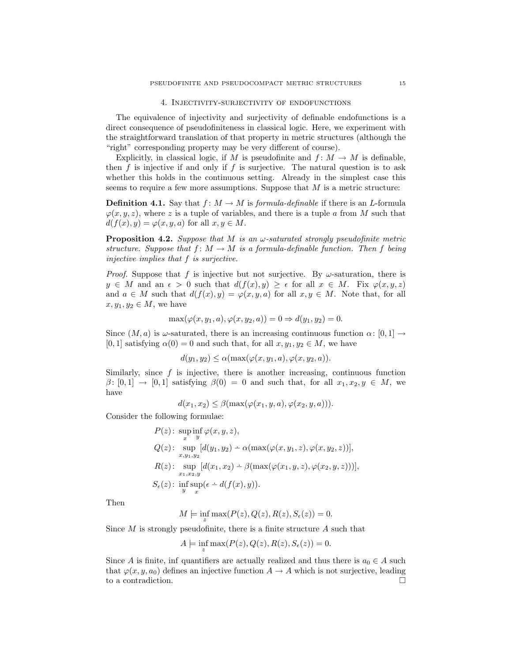#### 4. Injectivity-surjectivity of endofunctions

The equivalence of injectivity and surjectivity of definable endofunctions is a direct consequence of pseudofiniteness in classical logic. Here, we experiment with the straightforward translation of that property in metric structures (although the "right" corresponding property may be very different of course).

Explicitly, in classical logic, if M is pseudofinite and  $f: M \to M$  is definable, then  $f$  is injective if and only if  $f$  is surjective. The natural question is to ask whether this holds in the continuous setting. Already in the simplest case this seems to require a few more assumptions. Suppose that  $M$  is a metric structure:

**Definition 4.1.** Say that  $f : M \to M$  is formula-definable if there is an L-formula  $\varphi(x, y, z)$ , where z is a tuple of variables, and there is a tuple a from M such that  $d(f(x), y) = \varphi(x, y, a)$  for all  $x, y \in M$ .

**Proposition 4.2.** Suppose that M is an  $\omega$ -saturated strongly pseudofinite metric structure. Suppose that  $f: M \to M$  is a formula-definable function. Then f being injective implies that f is surjective.

*Proof.* Suppose that f is injective but not surjective. By  $\omega$ -saturation, there is  $y \in M$  and an  $\epsilon > 0$  such that  $d(f(x), y) \geq \epsilon$  for all  $x \in M$ . Fix  $\varphi(x, y, z)$ and  $a \in M$  such that  $d(f(x), y) = \varphi(x, y, a)$  for all  $x, y \in M$ . Note that, for all  $x, y_1, y_2 \in M$ , we have

$$
\max(\varphi(x, y_1, a), \varphi(x, y_2, a)) = 0 \Rightarrow d(y_1, y_2) = 0.
$$

Since  $(M, a)$  is  $\omega$ -saturated, there is an increasing continuous function  $\alpha: [0, 1] \rightarrow$ [0, 1] satisfying  $\alpha(0) = 0$  and such that, for all  $x, y_1, y_2 \in M$ , we have

$$
d(y_1, y_2) \le \alpha(\max(\varphi(x, y_1, a), \varphi(x, y_2, a)).
$$

Similarly, since  $f$  is injective, there is another increasing, continuous function  $\beta$ : [0, 1]  $\rightarrow$  [0, 1] satisfying  $\beta(0) = 0$  and such that, for all  $x_1, x_2, y \in M$ , we have

$$
d(x_1, x_2) \leq \beta(\max(\varphi(x_1, y, a), \varphi(x_2, y, a))).
$$

Consider the following formulae:

$$
P(z): \underset{x}{\sup} \underset{y}{\inf} \varphi(x, y, z),
$$
  
 
$$
Q(z): \underset{x, y_1, y_2}{\sup} [d(y_1, y_2) - \alpha(\max(\varphi(x, y_1, z), \varphi(x, y_2, z))],
$$
  
 
$$
R(z): \underset{x_1, x_2, y}{\sup} [d(x_1, x_2) - \beta(\max(\varphi(x_1, y, z), \varphi(x_2, y, z)))],
$$
  
 
$$
S_{\epsilon}(z): \underset{y}{\inf} \underset{x}{\sup} (\epsilon - d(f(x), y)).
$$

Then

$$
M \models \inf_z \max(P(z), Q(z), R(z), S_{\epsilon}(z)) = 0.
$$

Since  $M$  is strongly pseudofinite, there is a finite structure  $A$  such that

$$
A \models \inf_z \max(P(z), Q(z), R(z), S_{\epsilon}(z)) = 0.
$$

Since A is finite, inf quantifiers are actually realized and thus there is  $a_0 \in A$  such that  $\varphi(x, y, a_0)$  defines an injective function  $A \to A$  which is not surjective, leading to a contradiction.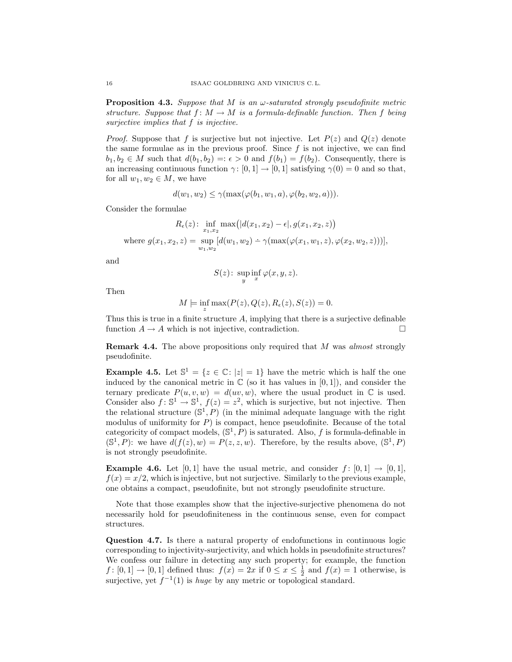**Proposition 4.3.** Suppose that M is an  $\omega$ -saturated strongly pseudofinite metric structure. Suppose that  $f: M \to M$  is a formula-definable function. Then f being surjective implies that f is injective.

*Proof.* Suppose that f is surjective but not injective. Let  $P(z)$  and  $Q(z)$  denote the same formulae as in the previous proof. Since  $f$  is not injective, we can find  $b_1, b_2 \in M$  such that  $d(b_1, b_2) =: \epsilon > 0$  and  $f(b_1) = f(b_2)$ . Consequently, there is an increasing continuous function  $\gamma: [0,1] \to [0,1]$  satisfying  $\gamma(0) = 0$  and so that, for all  $w_1, w_2 \in M$ , we have

$$
d(w_1, w_2) \leq \gamma(\max(\varphi(b_1, w_1, a), \varphi(b_2, w_2, a))).
$$

Consider the formulae

$$
R_{\epsilon}(z): \inf_{x_1, x_2} \max(|d(x_1, x_2) - \epsilon|, g(x_1, x_2, z))
$$
  
where  $g(x_1, x_2, z) = \sup_{w_1, w_2} [d(w_1, w_2) - \gamma(\max(\varphi(x_1, w_1, z), \varphi(x_2, w_2, z)))],$ 

and

$$
S(z) \colon \sup_{y} \inf_{x} \varphi(x, y, z).
$$

Then

$$
M \models \inf_z \max(P(z), Q(z), R_{\epsilon}(z), S(z)) = 0.
$$

Thus this is true in a finite structure  $A$ , implying that there is a surjective definable function  $A \to A$  which is not injective, contradiction.

**Remark 4.4.** The above propositions only required that M was almost strongly pseudofinite.

**Example 4.5.** Let  $\mathbb{S}^1 = \{z \in \mathbb{C} : |z| = 1\}$  have the metric which is half the one induced by the canonical metric in  $\mathbb C$  (so it has values in [0, 1]), and consider the ternary predicate  $P(u, v, w) = d(uv, w)$ , where the usual product in C is used. Consider also  $f: \mathbb{S}^1 \to \mathbb{S}^1$ ,  $f(z) = z^2$ , which is surjective, but not injective. Then the relational structure  $(\mathbb{S}^1, P)$  (in the minimal adequate language with the right modulus of uniformity for  $P$ ) is compact, hence pseudofinite. Because of the total categoricity of compact models,  $(\mathbb{S}^1, P)$  is saturated. Also, f is formula-definable in  $(\mathbb{S}^1, P)$ : we have  $d(f(z), w) = P(z, z, w)$ . Therefore, by the results above,  $(\mathbb{S}^1, P)$ is not strongly pseudofinite.

**Example 4.6.** Let [0, 1] have the usual metric, and consider  $f : [0, 1] \rightarrow [0, 1]$ ,  $f(x) = x/2$ , which is injective, but not surjective. Similarly to the previous example, one obtains a compact, pseudofinite, but not strongly pseudofinite structure.

Note that those examples show that the injective-surjective phenomena do not necessarily hold for pseudofiniteness in the continuous sense, even for compact structures.

Question 4.7. Is there a natural property of endofunctions in continuous logic corresponding to injectivity-surjectivity, and which holds in pseudofinite structures? We confess our failure in detecting any such property; for example, the function  $f: [0,1] \to [0,1]$  defined thus:  $f(x) = 2x$  if  $0 \le x \le \frac{1}{2}$  and  $f(x) = 1$  otherwise, is surjective, yet  $f^{-1}(1)$  is *huge* by any metric or topological standard.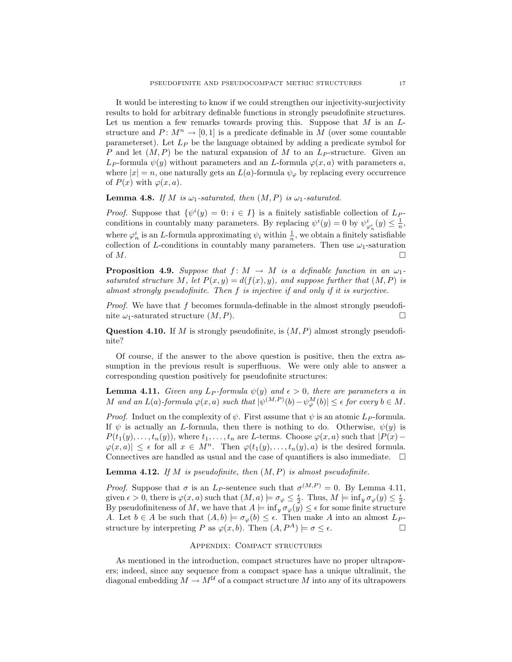It would be interesting to know if we could strengthen our injectivity-surjectivity results to hold for arbitrary definable functions in strongly pseudofinite structures. Let us mention a few remarks towards proving this. Suppose that  $M$  is an  $L$ structure and  $P: M^n \to [0, 1]$  is a predicate definable in M (over some countable parameterset). Let  $L_P$  be the language obtained by adding a predicate symbol for P and let  $(M, P)$  be the natural expansion of M to an  $L_P$ -structure. Given an  $L_P$ -formula  $\psi(y)$  without parameters and an L-formula  $\varphi(x, a)$  with parameters a, where  $|x| = n$ , one naturally gets an  $L(a)$ -formula  $\psi_{\varphi}$  by replacing every occurrence of  $P(x)$  with  $\varphi(x, a)$ .

**Lemma 4.8.** If M is  $\omega_1$ -saturated, then  $(M, P)$  is  $\omega_1$ -saturated.

*Proof.* Suppose that  $\{\psi^i(y) = 0 : i \in I\}$  is a finitely satisfiable collection of  $L_P$ conditions in countably many parameters. By replacing  $\psi^i(y) = 0$  by  $\psi^i_{\varphi^i_n}(y) \leq \frac{1}{n}$ , where  $\varphi_n^i$  is an L-formula approximating  $\psi_i$  within  $\frac{1}{n}$ , we obtain a finitely satisfiable collection of L-conditions in countably many parameters. Then use  $\omega_1$ -saturation of  $M$ .

**Proposition 4.9.** Suppose that  $f: M \to M$  is a definable function in an  $\omega_1$ saturated structure M, let  $P(x, y) = d(f(x), y)$ , and suppose further that  $(M, P)$  is almost strongly pseudofinite. Then f is injective if and only if it is surjective.

*Proof.* We have that f becomes formula-definable in the almost strongly pseudofinite  $\omega_1$ -saturated structure  $(M, P)$ .

Question 4.10. If M is strongly pseudofinite, is  $(M, P)$  almost strongly pseudofinite?

Of course, if the answer to the above question is positive, then the extra assumption in the previous result is superfluous. We were only able to answer a corresponding question positively for pseudofinite structures:

**Lemma 4.11.** Given any  $L_P$ -formula  $\psi(y)$  and  $\epsilon > 0$ , there are parameters a in M and an  $L(a)$ -formula  $\varphi(x,a)$  such that  $|\psi^{(M,P)}(b) - \psi_{\varphi}^{M}(b)| \leq \epsilon$  for every  $b \in M$ .

*Proof.* Induct on the complexity of  $\psi$ . First assume that  $\psi$  is an atomic  $L_P$ -formula. If  $\psi$  is actually an *L*-formula, then there is nothing to do. Otherwise,  $\psi(y)$  is  $P(t_1(y), \ldots, t_n(y))$ , where  $t_1, \ldots, t_n$  are L-terms. Choose  $\varphi(x, a)$  such that  $|P(x) |\varphi(x, a)| \leq \epsilon$  for all  $x \in M^n$ . Then  $\varphi(t_1(y), \ldots, t_n(y), a)$  is the desired formula. Connectives are handled as usual and the case of quantifiers is also immediate.  $\Box$ 

**Lemma 4.12.** If M is pseudofinite, then  $(M, P)$  is almost pseudofinite.

*Proof.* Suppose that  $\sigma$  is an  $L_P$ -sentence such that  $\sigma^{(M,P)} = 0$ . By Lemma 4.11, given  $\epsilon > 0$ , there is  $\varphi(x, a)$  such that  $(M, a) \models \sigma_{\varphi} \leq \frac{\epsilon}{2}$ . Thus,  $M \models \inf_{y} \sigma_{\varphi}(y) \leq \frac{\epsilon}{2}$ . By pseudofiniteness of M, we have that  $A \models \inf_y \sigma_\varphi(y) \leq \epsilon$  for some finite structure A. Let  $b \in A$  be such that  $(A, b) \models \sigma_{\varphi}(b) \leq \epsilon$ . Then make A into an almost  $L_P$ structure by interpreting P as  $\varphi(x, b)$ . Then  $(A, P^A) \models \sigma \leq \epsilon$ .

## Appendix: Compact structures

As mentioned in the introduction, compact structures have no proper ultrapowers; indeed, since any sequence from a compact space has a unique ultralimit, the diagonal embedding  $M \to M^{\mathcal{U}}$  of a compact structure M into any of its ultrapowers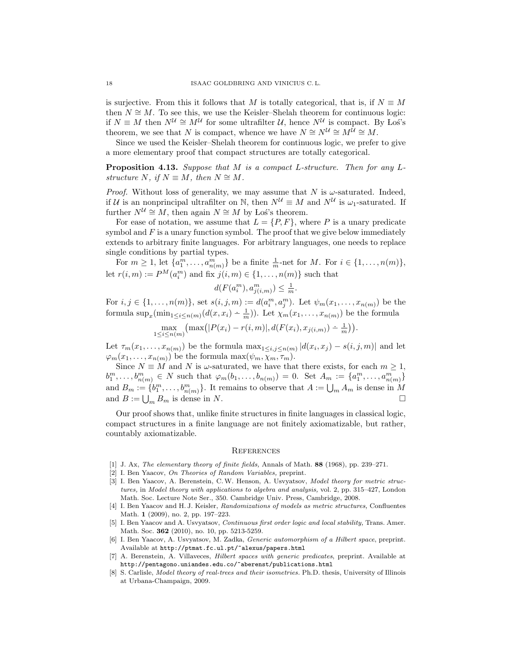is surjective. From this it follows that M is totally categorical, that is, if  $N \equiv M$ then  $N \cong M$ . To see this, we use the Keisler–Shelah theorem for continuous logic: if  $N \equiv M$  then  $N^{\mathcal{U}} \cong M^{\mathcal{U}}$  for some ultrafilter  $\mathcal{U}$ , hence  $N^{\mathcal{U}}$  is compact. By Los's theorem, we see that N is compact, whence we have  $N \cong N^{\mathcal{U}} \cong M^{\mathcal{U}} \cong M$ .

Since we used the Keisler–Shelah theorem for continuous logic, we prefer to give a more elementary proof that compact structures are totally categorical.

**Proposition 4.13.** Suppose that M is a compact L-structure. Then for any  $L$ structure N, if  $N \equiv M$ , then  $N \cong M$ .

*Proof.* Without loss of generality, we may assume that N is  $\omega$ -saturated. Indeed, if U is an nonprincipal ultrafilter on N, then  $N^{\mathcal{U}} \equiv M$  and  $N^{\mathcal{U}}$  is  $\omega_1$ -saturated. If further  $N^{\mathcal{U}} \cong M$ , then again  $N \cong M$  by Los<sup>'</sup>s theorem.

For ease of notation, we assume that  $L = \{P, F\}$ , where P is a unary predicate symbol and  $F$  is a unary function symbol. The proof that we give below immediately extends to arbitrary finite languages. For arbitrary languages, one needs to replace single conditions by partial types.

For  $m \geq 1$ , let  $\{a_1^m, \ldots, a_{n(m)}^m\}$  be a finite  $\frac{1}{m}$ -net for M. For  $i \in \{1, \ldots, n(m)\},$ let  $r(i, m) := P^{M}(a_i^m)$  and fix  $j(i, m) \in \{1, ..., n(m)\}$  such that

$$
d(F(a_i^m), a_{j(i,m)}^m) \leq \frac{1}{m}.
$$

For  $i, j \in \{1, ..., n(m)\}$ , set  $s(i, j, m) := d(a_i^m, a_j^m)$ . Let  $\psi_m(x_1, ..., x_{n(m)})$  be the formula  $\sup_x(\min_{1 \le i \le n(m)}(d(x,x_i) - \frac{1}{m}))$ . Let  $\chi_m(x_1,\ldots,x_{n(m)})$  be the formula

 $\max_{1 \le i \le n(m)} (\max(|P(x_i) - r(i,m)|, d(F(x_i), x_{j(i,m)}) - \frac{1}{m})).$ 

Let  $\tau_m(x_1,\ldots,x_{n(m)})$  be the formula  $\max_{1\leq i,j\leq n(m)}|d(x_i,x_j)-s(i,j,m)|$  and let  $\varphi_m(x_1,\ldots,x_{n(m)})$  be the formula max $(\psi_m,\chi_m,\tau_m)$ .

Since  $N \equiv M$  and N is  $\omega$ -saturated, we have that there exists, for each  $m \geq 1$ ,  $b_1^m, \ldots, b_{n(m)}^m \in N$  such that  $\varphi_m(b_1, \ldots, b_{n(m)}) = 0$ . Set  $A_m := \{a_1^m, \ldots, a_{n(m)}^m\}$ and  $B_m := \{b_1^m, \ldots, b_{n(m)}^m\}$ . It remains to observe that  $A := \bigcup_m A_m$  is dense in M and  $B := \bigcup_m B_m$  is dense in N.

Our proof shows that, unlike finite structures in finite languages in classical logic, compact structures in a finite language are not finitely axiomatizable, but rather, countably axiomatizable.

## **REFERENCES**

- [1] J. Ax, The elementary theory of finite fields, Annals of Math. 88 (1968), pp. 239–271.
- [2] I. Ben Yaacov, On Theories of Random Variables, preprint.
- [3] I. Ben Yaacov, A. Berenstein, C.W. Henson, A. Usvyatsov, Model theory for metric structures, in Model theory with applications to algebra and analysis, vol. 2, pp. 315–427, London Math. Soc. Lecture Note Ser., 350. Cambridge Univ. Press, Cambridge, 2008.
- [4] I. Ben Yaacov and H. J. Keisler, Randomizations of models as metric structures, Confluentes Math. 1 (2009), no. 2, pp. 197–223.
- [5] I. Ben Yaacov and A. Usvyatsov, Continuous first order logic and local stability, Trans. Amer. Math. Soc. 362 (2010), no. 10, pp. 5213-5259.
- [6] I. Ben Yaacov, A. Usvyatsov, M. Zadka, Generic automorphism of a Hilbert space, preprint. Available at http://ptmat.fc.ul.pt/~alexus/papers.html
- [7] A. Berenstein, A. Villaveces, Hilbert spaces with generic predicates, preprint. Available at http://pentagono.uniandes.edu.co/~aberenst/publications.html
- [8] S. Carlisle, *Model theory of real-trees and their isometries*. Ph.D. thesis, University of Illinois at Urbana-Champaign, 2009.